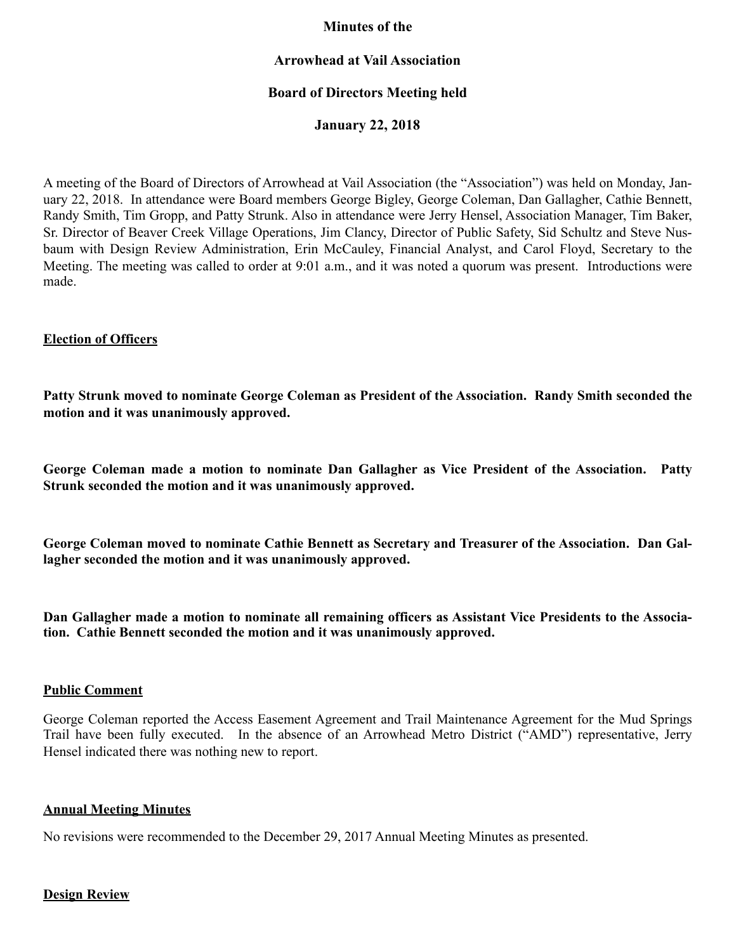# **Minutes of the**

### **Arrowhead at Vail Association**

# **Board of Directors Meeting held**

**January 22, 2018** 

A meeting of the Board of Directors of Arrowhead at Vail Association (the "Association") was held on Monday, January 22, 2018. In attendance were Board members George Bigley, George Coleman, Dan Gallagher, Cathie Bennett, Randy Smith, Tim Gropp, and Patty Strunk. Also in attendance were Jerry Hensel, Association Manager, Tim Baker, Sr. Director of Beaver Creek Village Operations, Jim Clancy, Director of Public Safety, Sid Schultz and Steve Nusbaum with Design Review Administration, Erin McCauley, Financial Analyst, and Carol Floyd, Secretary to the Meeting. The meeting was called to order at 9:01 a.m., and it was noted a quorum was present. Introductions were made.

### **Election of Officers**

**Patty Strunk moved to nominate George Coleman as President of the Association. Randy Smith seconded the motion and it was unanimously approved.** 

**George Coleman made a motion to nominate Dan Gallagher as Vice President of the Association. Patty Strunk seconded the motion and it was unanimously approved.** 

**George Coleman moved to nominate Cathie Bennett as Secretary and Treasurer of the Association. Dan Gallagher seconded the motion and it was unanimously approved.** 

**Dan Gallagher made a motion to nominate all remaining officers as Assistant Vice Presidents to the Association. Cathie Bennett seconded the motion and it was unanimously approved.** 

### **Public Comment**

George Coleman reported the Access Easement Agreement and Trail Maintenance Agreement for the Mud Springs Trail have been fully executed. In the absence of an Arrowhead Metro District ("AMD") representative, Jerry Hensel indicated there was nothing new to report.

### **Annual Meeting Minutes**

No revisions were recommended to the December 29, 2017 Annual Meeting Minutes as presented.

### **Design Review**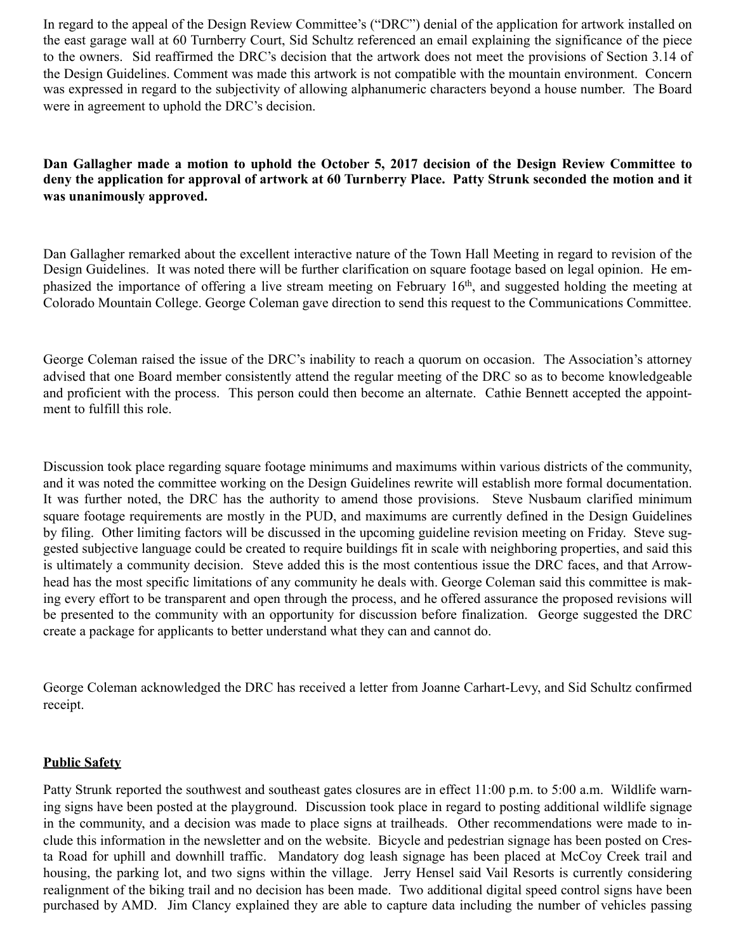In regard to the appeal of the Design Review Committee's ("DRC") denial of the application for artwork installed on the east garage wall at 60 Turnberry Court, Sid Schultz referenced an email explaining the significance of the piece to the owners. Sid reaffirmed the DRC's decision that the artwork does not meet the provisions of Section 3.14 of the Design Guidelines. Comment was made this artwork is not compatible with the mountain environment. Concern was expressed in regard to the subjectivity of allowing alphanumeric characters beyond a house number. The Board were in agreement to uphold the DRC's decision.

**Dan Gallagher made a motion to uphold the October 5, 2017 decision of the Design Review Committee to deny the application for approval of artwork at 60 Turnberry Place. Patty Strunk seconded the motion and it was unanimously approved.** 

Dan Gallagher remarked about the excellent interactive nature of the Town Hall Meeting in regard to revision of the Design Guidelines. It was noted there will be further clarification on square footage based on legal opinion. He emphasized the importance of offering a live stream meeting on February 16th, and suggested holding the meeting at Colorado Mountain College. George Coleman gave direction to send this request to the Communications Committee.

George Coleman raised the issue of the DRC's inability to reach a quorum on occasion. The Association's attorney advised that one Board member consistently attend the regular meeting of the DRC so as to become knowledgeable and proficient with the process. This person could then become an alternate. Cathie Bennett accepted the appointment to fulfill this role.

Discussion took place regarding square footage minimums and maximums within various districts of the community, and it was noted the committee working on the Design Guidelines rewrite will establish more formal documentation. It was further noted, the DRC has the authority to amend those provisions. Steve Nusbaum clarified minimum square footage requirements are mostly in the PUD, and maximums are currently defined in the Design Guidelines by filing. Other limiting factors will be discussed in the upcoming guideline revision meeting on Friday. Steve suggested subjective language could be created to require buildings fit in scale with neighboring properties, and said this is ultimately a community decision. Steve added this is the most contentious issue the DRC faces, and that Arrowhead has the most specific limitations of any community he deals with. George Coleman said this committee is making every effort to be transparent and open through the process, and he offered assurance the proposed revisions will be presented to the community with an opportunity for discussion before finalization. George suggested the DRC create a package for applicants to better understand what they can and cannot do.

George Coleman acknowledged the DRC has received a letter from Joanne Carhart-Levy, and Sid Schultz confirmed receipt.

# **Public Safety**

Patty Strunk reported the southwest and southeast gates closures are in effect 11:00 p.m. to 5:00 a.m. Wildlife warning signs have been posted at the playground. Discussion took place in regard to posting additional wildlife signage in the community, and a decision was made to place signs at trailheads. Other recommendations were made to include this information in the newsletter and on the website. Bicycle and pedestrian signage has been posted on Cresta Road for uphill and downhill traffic. Mandatory dog leash signage has been placed at McCoy Creek trail and housing, the parking lot, and two signs within the village. Jerry Hensel said Vail Resorts is currently considering realignment of the biking trail and no decision has been made. Two additional digital speed control signs have been purchased by AMD. Jim Clancy explained they are able to capture data including the number of vehicles passing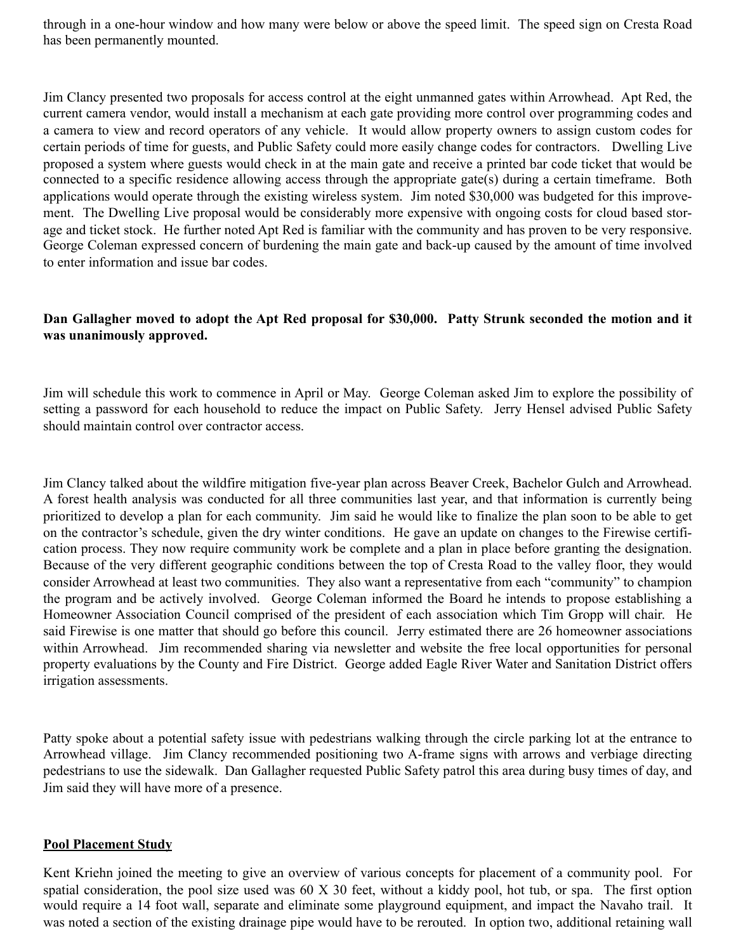through in a one-hour window and how many were below or above the speed limit. The speed sign on Cresta Road has been permanently mounted.

Jim Clancy presented two proposals for access control at the eight unmanned gates within Arrowhead. Apt Red, the current camera vendor, would install a mechanism at each gate providing more control over programming codes and a camera to view and record operators of any vehicle. It would allow property owners to assign custom codes for certain periods of time for guests, and Public Safety could more easily change codes for contractors. Dwelling Live proposed a system where guests would check in at the main gate and receive a printed bar code ticket that would be connected to a specific residence allowing access through the appropriate gate(s) during a certain timeframe. Both applications would operate through the existing wireless system. Jim noted \$30,000 was budgeted for this improvement. The Dwelling Live proposal would be considerably more expensive with ongoing costs for cloud based storage and ticket stock. He further noted Apt Red is familiar with the community and has proven to be very responsive. George Coleman expressed concern of burdening the main gate and back-up caused by the amount of time involved to enter information and issue bar codes.

# **Dan Gallagher moved to adopt the Apt Red proposal for \$30,000. Patty Strunk seconded the motion and it was unanimously approved.**

Jim will schedule this work to commence in April or May. George Coleman asked Jim to explore the possibility of setting a password for each household to reduce the impact on Public Safety. Jerry Hensel advised Public Safety should maintain control over contractor access.

Jim Clancy talked about the wildfire mitigation five-year plan across Beaver Creek, Bachelor Gulch and Arrowhead. A forest health analysis was conducted for all three communities last year, and that information is currently being prioritized to develop a plan for each community. Jim said he would like to finalize the plan soon to be able to get on the contractor's schedule, given the dry winter conditions. He gave an update on changes to the Firewise certification process. They now require community work be complete and a plan in place before granting the designation. Because of the very different geographic conditions between the top of Cresta Road to the valley floor, they would consider Arrowhead at least two communities. They also want a representative from each "community" to champion the program and be actively involved. George Coleman informed the Board he intends to propose establishing a Homeowner Association Council comprised of the president of each association which Tim Gropp will chair. He said Firewise is one matter that should go before this council. Jerry estimated there are 26 homeowner associations within Arrowhead. Jim recommended sharing via newsletter and website the free local opportunities for personal property evaluations by the County and Fire District. George added Eagle River Water and Sanitation District offers irrigation assessments.

Patty spoke about a potential safety issue with pedestrians walking through the circle parking lot at the entrance to Arrowhead village. Jim Clancy recommended positioning two A-frame signs with arrows and verbiage directing pedestrians to use the sidewalk. Dan Gallagher requested Public Safety patrol this area during busy times of day, and Jim said they will have more of a presence.

### **Pool Placement Study**

Kent Kriehn joined the meeting to give an overview of various concepts for placement of a community pool. For spatial consideration, the pool size used was 60 X 30 feet, without a kiddy pool, hot tub, or spa. The first option would require a 14 foot wall, separate and eliminate some playground equipment, and impact the Navaho trail. It was noted a section of the existing drainage pipe would have to be rerouted. In option two, additional retaining wall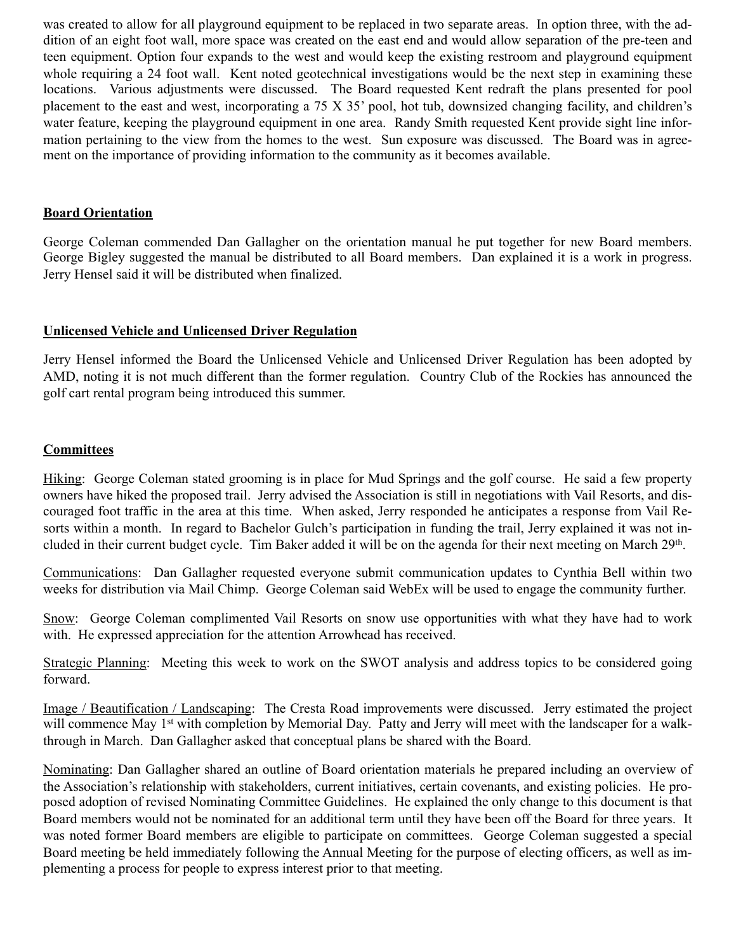was created to allow for all playground equipment to be replaced in two separate areas. In option three, with the addition of an eight foot wall, more space was created on the east end and would allow separation of the pre-teen and teen equipment. Option four expands to the west and would keep the existing restroom and playground equipment whole requiring a 24 foot wall. Kent noted geotechnical investigations would be the next step in examining these locations. Various adjustments were discussed. The Board requested Kent redraft the plans presented for pool placement to the east and west, incorporating a 75 X 35' pool, hot tub, downsized changing facility, and children's water feature, keeping the playground equipment in one area. Randy Smith requested Kent provide sight line information pertaining to the view from the homes to the west. Sun exposure was discussed. The Board was in agreement on the importance of providing information to the community as it becomes available.

## **Board Orientation**

George Coleman commended Dan Gallagher on the orientation manual he put together for new Board members. George Bigley suggested the manual be distributed to all Board members. Dan explained it is a work in progress. Jerry Hensel said it will be distributed when finalized.

# **Unlicensed Vehicle and Unlicensed Driver Regulation**

Jerry Hensel informed the Board the Unlicensed Vehicle and Unlicensed Driver Regulation has been adopted by AMD, noting it is not much different than the former regulation. Country Club of the Rockies has announced the golf cart rental program being introduced this summer.

# **Committees**

Hiking: George Coleman stated grooming is in place for Mud Springs and the golf course. He said a few property owners have hiked the proposed trail. Jerry advised the Association is still in negotiations with Vail Resorts, and discouraged foot traffic in the area at this time. When asked, Jerry responded he anticipates a response from Vail Resorts within a month. In regard to Bachelor Gulch's participation in funding the trail, Jerry explained it was not included in their current budget cycle. Tim Baker added it will be on the agenda for their next meeting on March 29th.

Communications: Dan Gallagher requested everyone submit communication updates to Cynthia Bell within two weeks for distribution via Mail Chimp. George Coleman said WebEx will be used to engage the community further.

Snow: George Coleman complimented Vail Resorts on snow use opportunities with what they have had to work with. He expressed appreciation for the attention Arrowhead has received.

Strategic Planning: Meeting this week to work on the SWOT analysis and address topics to be considered going forward.

Image / Beautification / Landscaping: The Cresta Road improvements were discussed. Jerry estimated the project will commence May 1<sup>st</sup> with completion by Memorial Day. Patty and Jerry will meet with the landscaper for a walkthrough in March. Dan Gallagher asked that conceptual plans be shared with the Board.

Nominating: Dan Gallagher shared an outline of Board orientation materials he prepared including an overview of the Association's relationship with stakeholders, current initiatives, certain covenants, and existing policies. He proposed adoption of revised Nominating Committee Guidelines. He explained the only change to this document is that Board members would not be nominated for an additional term until they have been off the Board for three years. It was noted former Board members are eligible to participate on committees. George Coleman suggested a special Board meeting be held immediately following the Annual Meeting for the purpose of electing officers, as well as implementing a process for people to express interest prior to that meeting.